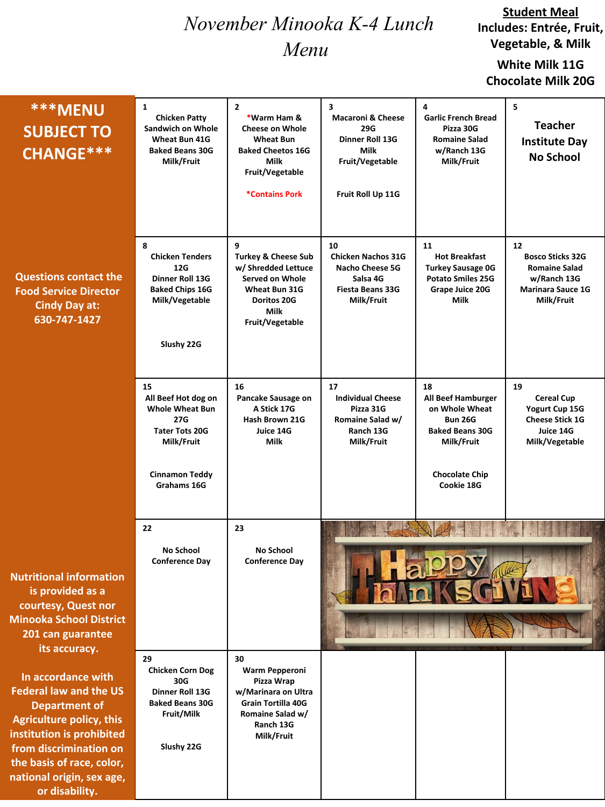# *November Minooka K-4 Lunch Menu*

#### **Student Meal Includes: Entrée, Fruit, Vegetable, & Milk**

## **White Milk 11G Chocolate Milk 20G**

| <b>***MENU</b><br><b>SUBJECT TO</b><br>CHANGE ***                                                                                                                                                                                                 | $\mathbf{1}$<br><b>Chicken Patty</b><br><b>Sandwich on Whole</b><br><b>Wheat Bun 41G</b><br><b>Baked Beans 30G</b><br>Milk/Fruit          | $\overline{2}$<br>*Warm Ham &<br><b>Cheese on Whole</b><br><b>Wheat Bun</b><br><b>Baked Cheetos 16G</b><br>Milk<br>Fruit/Vegetable<br><b>*Contains Pork</b> | 3<br><b>Macaroni &amp; Cheese</b><br>29G<br>Dinner Roll 13G<br><b>Milk</b><br>Fruit/Vegetable<br>Fruit Roll Up 11G | 4<br><b>Garlic French Bread</b><br>Pizza 30G<br><b>Romaine Salad</b><br>w/Ranch 13G<br>Milk/Fruit                                           | 5<br><b>Teacher</b><br><b>Institute Day</b><br><b>No School</b>                                         |
|---------------------------------------------------------------------------------------------------------------------------------------------------------------------------------------------------------------------------------------------------|-------------------------------------------------------------------------------------------------------------------------------------------|-------------------------------------------------------------------------------------------------------------------------------------------------------------|--------------------------------------------------------------------------------------------------------------------|---------------------------------------------------------------------------------------------------------------------------------------------|---------------------------------------------------------------------------------------------------------|
| <b>Questions contact the</b><br><b>Food Service Director</b><br><b>Cindy Day at:</b><br>630-747-1427                                                                                                                                              | 8<br><b>Chicken Tenders</b><br>12G<br>Dinner Roll 13G<br><b>Baked Chips 16G</b><br>Milk/Vegetable<br>Slushy 22G                           | 9<br><b>Turkey &amp; Cheese Sub</b><br>w/ Shredded Lettuce<br>Served on Whole<br>Wheat Bun 31G<br>Doritos 20G<br><b>Milk</b><br>Fruit/Vegetable             | 10<br><b>Chicken Nachos 31G</b><br><b>Nacho Cheese 5G</b><br>Salsa 4G<br><b>Fiesta Beans 33G</b><br>Milk/Fruit     | 11<br><b>Hot Breakfast</b><br><b>Turkey Sausage 0G</b><br><b>Potato Smiles 25G</b><br>Grape Juice 20G<br>Milk                               | 12<br><b>Bosco Sticks 32G</b><br><b>Romaine Salad</b><br>w/Ranch 13G<br>Marinara Sauce 1G<br>Milk/Fruit |
|                                                                                                                                                                                                                                                   | 15<br>All Beef Hot dog on<br><b>Whole Wheat Bun</b><br>27G<br><b>Tater Tots 20G</b><br>Milk/Fruit<br><b>Cinnamon Teddy</b><br>Grahams 16G | 16<br>Pancake Sausage on<br>A Stick 17G<br>Hash Brown 21G<br>Juice 14G<br>Milk                                                                              | 17<br><b>Individual Cheese</b><br>Pizza 31G<br>Romaine Salad w/<br>Ranch 13G<br>Milk/Fruit                         | 18<br>All Beef Hamburger<br>on Whole Wheat<br><b>Bun 26G</b><br><b>Baked Beans 30G</b><br>Milk/Fruit<br><b>Chocolate Chip</b><br>Cookie 18G | 19<br><b>Cereal Cup</b><br>Yogurt Cup 15G<br><b>Cheese Stick 1G</b><br>Juice 14G<br>Milk/Vegetable      |
| <b>Nutritional information</b><br>is provided as a<br>courtesy, Quest nor<br><b>Minooka School District</b><br>201 can guarantee<br>its accuracy.                                                                                                 | 22<br><b>No School</b><br><b>Conference Day</b>                                                                                           | 23<br>No School<br><b>Conference Day</b>                                                                                                                    |                                                                                                                    |                                                                                                                                             |                                                                                                         |
| In accordance with<br><b>Federal law and the US</b><br><b>Department of</b><br><b>Agriculture policy, this</b><br>institution is prohibited<br>from discrimination on<br>the basis of race, color,<br>national origin, sex age,<br>or disability. | 29<br><b>Chicken Corn Dog</b><br>30G<br><b>Dinner Roll 13G</b><br><b>Baked Beans 30G</b><br>Fruit/Milk<br>Slushy 22G                      | 30<br>Warm Pepperoni<br>Pizza Wrap<br>w/Marinara on Ultra<br><b>Grain Tortilla 40G</b><br>Romaine Salad w/<br>Ranch 13G<br>Milk/Fruit                       |                                                                                                                    |                                                                                                                                             |                                                                                                         |